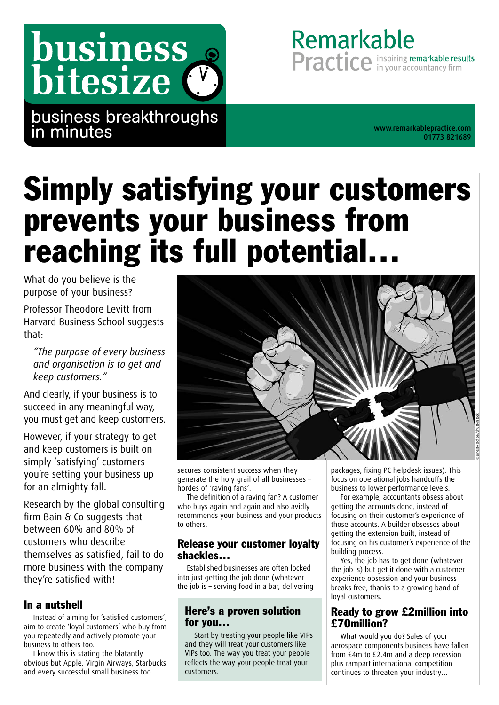# business bitesize (

business breakthroughs in minutes [www.remarkablepractice.com](http://www.remarkablepractice.com)

01773 821689

Remarkable

Practice in your accountancy firm

# Simply satisfying your customers prevents your business from reaching its full potential…

What do you believe is the purpose of your business?

Professor Theodore Levitt from Harvard Business School suggests that:

*"The purpose of every business and organisation is to get and keep customers."*

And clearly, if your business is to succeed in any meaningful way, you must get and keep customers.

However, if your strategy to get and keep customers is built on simply 'satisfying' customers you're setting your business up for an almighty fall.

Research by the global consulting firm Bain & Co suggests that between 60% and 80% of customers who describe themselves as satisfied, fail to do more business with the company they're satisfied with!

## In a nutshell

Instead of aiming for 'satisfied customers', aim to create 'loyal customers' who buy from you repeatedly and actively promote your business to others too.

I know this is stating the blatantly obvious but Apple, Virgin Airways, Starbucks and every successful small business too



secures consistent success when they generate the holy grail of all businesses – hordes of 'raving fans'.

The definition of a raving fan? A customer who buys again and again and also avidly recommends your business and your products to others.

### Release your customer loyalty shackles…

Established businesses are often locked into just getting the job done (whatever the job is – serving food in a bar, delivering

## Here's a proven solution for you…

Start by treating your people like VIPs and they will treat your customers like VIPs too. The way you treat your people reflects the way your people treat your customers.

packages, fixing PC helpdesk issues). This focus on operational jobs handcuffs the business to lower performance levels.

For example, accountants obsess about getting the accounts done, instead of focusing on their customer's experience of those accounts. A builder obsesses about getting the extension built, instead of focusing on his customer's experience of the building process.

Yes, the job has to get done (whatever the job is) but get it done with a customer experience obsession and your business breaks free, thanks to a growing band of loyal customers.

## Ready to grow £2million into £70million?

What would you do? Sales of your aerospace components business have fallen from £4m to £2.4m and a deep recession plus rampart international competition continues to threaten your industry…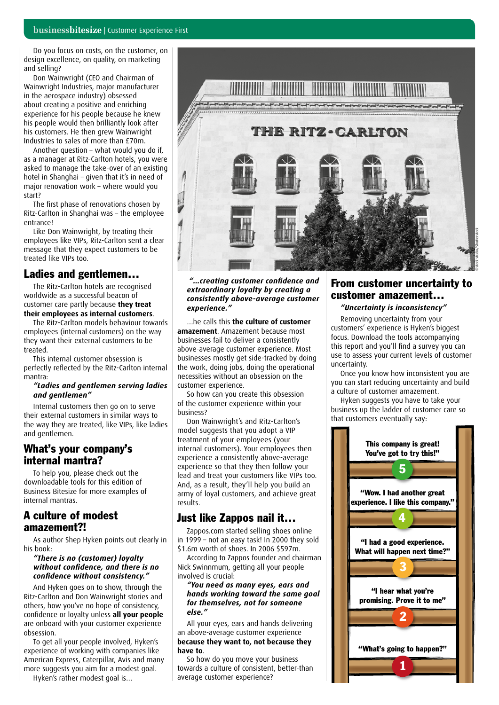Do you focus on costs, on the customer, on design excellence, on quality, on marketing and selling?

Don Wainwright (CEO and Chairman of Wainwright Industries, major manufacturer in the aerospace industry) obsessed about creating a positive and enriching experience for his people because he knew his people would then brilliantly look after his customers. He then grew Wainwright Industries to sales of more than £70m.

Another question – what would you do if, as a manager at Ritz-Carlton hotels, you were asked to manage the take-over of an existing hotel in Shanghai – given that it's in need of major renovation work – where would you start?

The first phase of renovations chosen by Ritz-Carlton in Shanghai was – the employee entrance!

Like Don Wainwright, by treating their employees like VIPs, Ritz-Carlton sent a clear message that they expect customers to be treated like VIPs too.

## Ladies and gentlemen…

The Ritz-Carlton hotels are recognised worldwide as a successful beacon of customer care partly because **they treat their employees as internal customers**.

The Ritz-Carlton models behaviour towards employees (internal customers) on the way they want their external customers to be treated.

This internal customer obsession is perfectly reflected by the Ritz-Carlton internal mantra:

#### *"Ladies and gentlemen serving ladies and gentlemen"*

Internal customers then go on to serve their external customers in similar ways to the way they are treated, like VIPs, like ladies and gentlemen.

## What's your company's internal mantra?

To help you, please check out the downloadable tools for this edition of Business Bitesize for more examples of internal mantras.

#### A culture of modest amazement?!

As author Shep Hyken points out clearly in his book:

#### *"There is no (customer) loyalty without confidence, and there is no confidence without consistency."*

And Hyken goes on to show, through the Ritz-Carlton and Don Wainwright stories and others, how you've no hope of consistency, confidence or loyalty unless **all your people** are onboard with your customer experience obsession.

To get all your people involved, Hyken's experience of working with companies like American Express, Caterpillar, Avis and many more suggests you aim for a modest goal.

Hyken's rather modest goal is…



 *"…creating customer confidence and extraordinary loyalty by creating a consistently above-average customer experience."*

…he calls this **the culture of customer amazement**. Amazement because most businesses fail to deliver a consistently above-average customer experience. Most businesses mostly get side-tracked by doing the work, doing jobs, doing the operational necessities without an obsession on the customer experience.

So how can you create this obsession of the customer experience within your business?

Don Wainwright's and Ritz-Carlton's model suggests that you adopt a VIP treatment of your employees (your internal customers). Your employees then experience a consistently above-average experience so that they then follow your lead and treat your customers like VIPs too. And, as a result, they'll help you build an army of loyal customers, and achieve great results.

## Just like Zappos nail it…

Zappos.com started selling shoes online in 1999 – not an easy task! In 2000 they sold \$1.6m worth of shoes. In 2006 \$597m.

According to Zappos founder and chairman Nick Swinnmum, getting all your people involved is crucial:

*"You need as many eyes, ears and hands working toward the same goal for themselves, not for someone else."*

All your eyes, ears and hands delivering an above-average customer experience **because they want to, not because they have to**.

So how do you move your business towards a culture of consistent, better-than average customer experience?

## From customer uncertainty to customer amazement…

*"Uncertainty is inconsistency"*

Removing uncertainty from your customers' experience is Hyken's biggest focus. Download the tools accompanying this report and you'll find a survey you can use to assess your current levels of customer uncertainty.

Once you know how inconsistent you are you can start reducing uncertainty and build a culture of customer amazement.

Hyken suggests you have to take your business up the ladder of customer care so that customers eventually say:

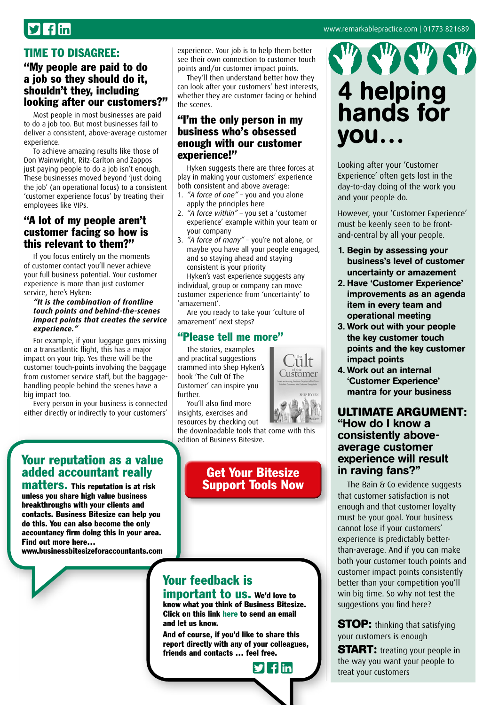# $9$  fin

#### [www.remarkablepractice.com](http://www.remarkablepractice.com) | 01773 821689

#### TIME TO DISAGREE:

## "My people are paid to do a job so they should do it, shouldn't they, including looking after our customers?"

Most people in most businesses are paid to do a job too. But most businesses fail to deliver a consistent, above-average customer experience.

To achieve amazing results like those of Don Wainwright, Ritz-Carlton and Zappos just paying people to do a job isn't enough. These businesses moved beyond 'just doing the job' (an operational focus) to a consistent 'customer experience focus' by treating their employees like VIPs.

#### "A lot of my people aren't customer facing so how is this relevant to them?"

If you focus entirely on the moments of customer contact you'll never achieve your full business potential. Your customer experience is more than just customer service, here's Hyken:

#### *"It is the combination of frontline touch points and behind-the-scenes impact points that creates the service experience."*

For example, if your luggage goes missing on a transatlantic flight, this has a major impact on your trip. Yes there will be the customer touch-points involving the baggage from customer service staff, but the baggagehandling people behind the scenes have a big impact too.

Every person in your business is connected either directly or indirectly to your customers'

## Your reputation as a value added accountant really

matters. This reputation is at risk unless you share high value business breakthroughs with your clients and contacts. Business Bitesize can help you do this. You can also become the only accountancy firm doing this in your area. Find out more here…

[www.businessbitesizeforaccountants.com](http://www.businessbitesizeforaccountants.com)

experience. Your job is to help them better see their own connection to customer touch points and/or customer impact points.

They'll then understand better how they can look after your customers' best interests, whether they are customer facing or behind the scenes.

#### "I'm the only person in my business who's obsessed enough with our customer experience!"

Hyken suggests there are three forces at play in making your customers' experience both consistent and above average:

- 1. *"A force of one"* you and you alone apply the principles here
- 2. *"A force within"* you set a 'customer experience' example within your team or your company
- 3. *"A force of many"* you're not alone, or maybe you have all your people engaged, and so staying ahead and staying consistent is your priority

Hyken's vast experience suggests any individual, group or company can move customer experience from 'uncertainty' to 'amazement'.

Are you ready to take your 'culture of amazement' next steps?

#### "Please tell me more"

The stories, examples and practical suggestions crammed into Shep Hyken's book 'The Cult Of The Customer' can inspire you further.

You'll also find more insights, exercises and resources by checking out

the downloadable tools that come with this edition of Business Bitesize.

> Get Your Bitesize [Support Tools Now](http://bit.ly/custexpfirsttls)

## Your feedback is

important to us. We'd love to know what you think of Business Bitesize. Click on this link [here](mailto:Kelly%40remarkablepractice.com?subject=Business%20Bitesize) to send an email and lat us know

And of course, if you'd like to share this report directly with any of your colleagues, friends and contacts … feel free.

 $\blacktriangleright$  flin



Looking after your 'Customer Experience' often gets lost in the day-to-day doing of the work you and your people do.

However, your 'Customer Experience' must be keenly seen to be frontand-central by all your people.

- 1. Begin by assessing your business's level of customer uncertainty or amazement
- 2. Have 'Customer Experience' improvements as an agenda item in every team and operational meeting
- 3. Work out with your people the key customer touch points and the key customer impact points
- 4. Work out an internal 'Customer Experience' mantra for your business

### **ULTIMATE ARGUMENT:** "How do I know a consistently aboveaverage customer experience will result in raving fans?"

The Bain & Co evidence suggests that customer satisfaction is not enough and that customer loyalty must be your goal. Your business cannot lose if your customers' experience is predictably betterthan-average. And if you can make both your customer touch points and customer impact points consistently better than your competition you'll win big time. So why not test the suggestions you find here?

**STOP:** thinking that satisfying your customers is enough

**START:** treating your people in the way you want your people to treat your customers

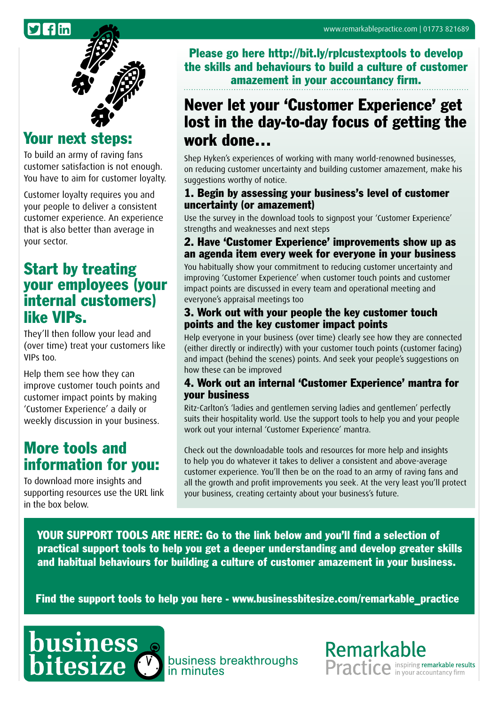

## Your next steps:

To build an army of raving fans customer satisfaction is not enough. You have to aim for customer loyalty.

Customer loyalty requires you and your people to deliver a consistent customer experience. An experience that is also better than average in your sector.

## Start by treating your employees (your internal customers) like VIPs.

They'll then follow your lead and (over time) treat your customers like VIPs too.

Help them see how they can improve customer touch points and customer impact points by making 'Customer Experience' a daily or weekly discussion in your business.

## More tools and information for you:

To download more insights and supporting resources use the URL link in the box below.

Please go here http://bit.ly/rplcustexptools to develop the skills and behaviours to build a culture of customer amazement in your accountancy firm.

# Never let your 'Customer Experience' get [lost in the day-to-day focus of getting the](http://bit.ly/rplcustexptools)  work done…

Shep Hyken's experiences of working with many world-renowned businesses, on reducing customer uncertainty and building customer amazement, make his suggestions worthy of notice.

## 1. Begin by assessing your business's level of customer uncertainty (or amazement)

Use the survey in the download tools to signpost your 'Customer Experience' strengths and weaknesses and next steps

## 2. Have 'Customer Experience' improvements show up as an agenda item every week for everyone in your business

You habitually show your commitment to reducing customer uncertainty and improving 'Customer Experience' when customer touch points and customer impact points are discussed in every team and operational meeting and everyone's appraisal meetings too

## 3. Work out with your people the key customer touch points and the key customer impact points

Help everyone in your business (over time) clearly see how they are connected (either directly or indirectly) with your customer touch points (customer facing) and impact (behind the scenes) points. And seek your people's suggestions on how these can be improved

## 4. Work out an internal 'Customer Experience' mantra for your business

Ritz-Carlton's 'ladies and gentlemen serving ladies and gentlemen' perfectly suits their hospitality world. Use the support tools to help you and your people work out your internal 'Customer Experience' mantra.

Check out the downloadable tools and resources for more help and insights to help you do whatever it takes to deliver a consistent and above-average customer experience. You'll then be on the road to an army of raving fans and all the growth and profit improvements you seek. At the very least you'll protect your business, creating certainty about your business's future.

YOUR SUPPORT TOOLS ARE HERE: Go to the link below and you'll find a selection of practical support tools to help you get a deeper understanding and develop greater skills and habitual behaviours for building a culture of customer amazement in your business.

Find the support tools to help you here - [www.businessbitesize.com/remarkable\\_practice](http://www.businessbitesize.com/remarkable_practice)



business breakthroughs<br>in minutes

Remarkable Practice in your accountancy firm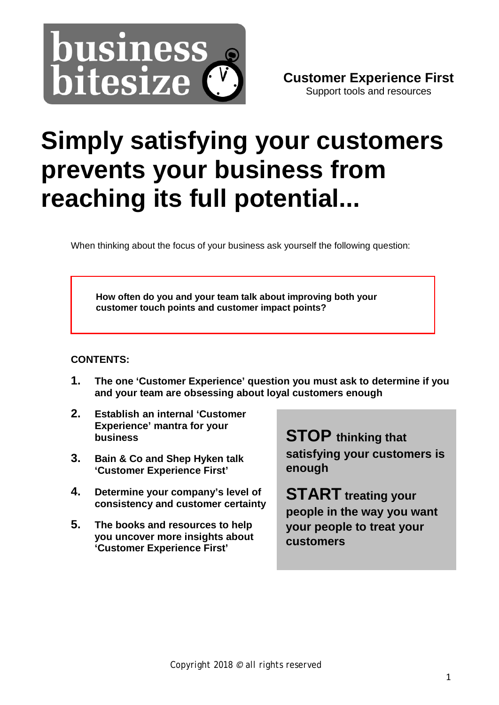

# **Simply satisfying your customers prevents your business from reaching its full potential...**

When thinking about the focus of your business ask yourself the following question:

**How often do you and your team talk about improving both your customer touch points and customer impact points?**

### **CONTENTS:**

- **1. The one 'Customer Experience' question you must ask to determine if you and your team are obsessing about loyal customers enough**
- **2. Establish an internal 'Customer Experience' mantra for your business**
- **3. Bain & Co and Shep Hyken talk 'Customer Experience First'**
- **4. Determine your company's level of consistency and customer certainty**
- **5. The books and resources to help you uncover more insights about 'Customer Experience First'**

**STOP thinking that satisfying your customers is enough**

**START treating your people in the way you want your people to treat your customers**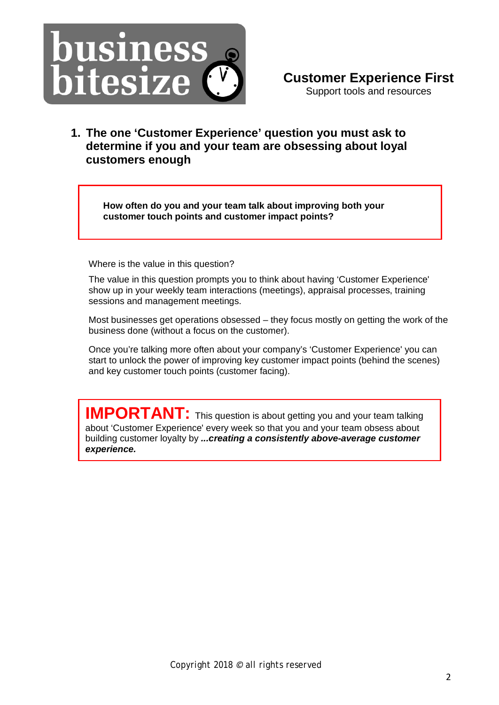

Support tools and resources

**1. The one 'Customer Experience' question you must ask to determine if you and your team are obsessing about loyal customers enough**

**How often do you and your team talk about improving both your customer touch points and customer impact points?**

Where is the value in this question?

The value in this question prompts you to think about having 'Customer Experience' show up in your weekly team interactions (meetings), appraisal processes, training sessions and management meetings.

Most businesses get operations obsessed – they focus mostly on getting the work of the business done (without a focus on the customer).

Once you're talking more often about your company's 'Customer Experience' you can start to unlock the power of improving key customer impact points (behind the scenes) and key customer touch points (customer facing).

**IMPORTANT:** This question is about getting you and your team talking about 'Customer Experience' every week so that you and your team obsess about building customer loyalty by *...creating a consistently above-average customer experience.*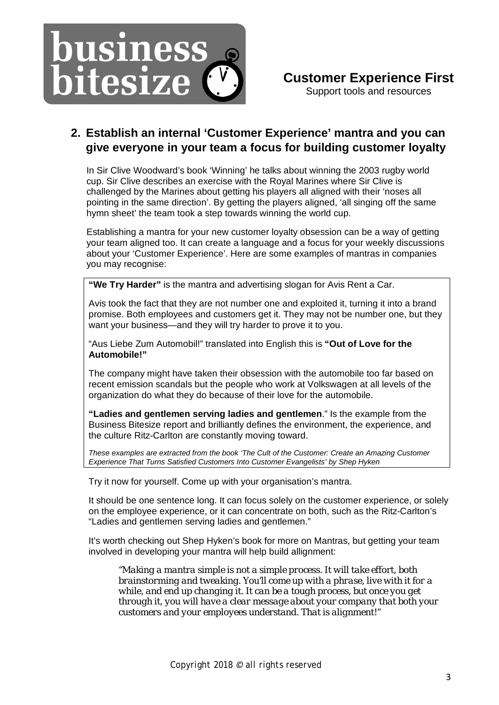

Support tools and resources

## **2. Establish an internal 'Customer Experience' mantra and you can give everyone in your team a focus for building customer loyalty**

In Sir Clive Woodward's book 'Winning' he talks about winning the 2003 rugby world cup. Sir Clive describes an exercise with the Royal Marines where Sir Clive is challenged by the Marines about getting his players all aligned with their 'noses all pointing in the same direction'. By getting the players aligned, 'all singing off the same hymn sheet' the team took a step towards winning the world cup.

Establishing a mantra for your new customer loyalty obsession can be a way of getting your team aligned too. It can create a language and a focus for your weekly discussions about your 'Customer Experience'. Here are some examples of mantras in companies you may recognise:

**"We Try Harder"** is the mantra and advertising slogan for Avis Rent a Car.

Avis took the fact that they are not number one and exploited it, turning it into a brand promise. Both employees and customers get it. They may not be number one, but they want your business—and they will try harder to prove it to you.

"Aus Liebe Zum Automobil!" translated into English this is **"Out of Love for the Automobile!"**

The company might have taken their obsession with the automobile too far based on recent emission scandals but the people who work at Volkswagen at all levels of the organization do what they do because of their love for the automobile.

**"Ladies and gentlemen serving ladies and gentlemen**." Is the example from the Business Bitesize report and brilliantly defines the environment, the experience, and the culture Ritz-Carlton are constantly moving toward.

*These examples are extracted from the book 'The Cult of the Customer: Create an Amazing Customer Experience That Turns Satisfied Customers Into Customer Evangelists' by Shep Hyken*

Try it now for yourself. Come up with your organisation's mantra.

It should be one sentence long. It can focus solely on the customer experience, or solely on the employee experience, or it can concentrate on both, such as the Ritz-Carlton's "Ladies and gentlemen serving ladies and gentlemen."

It's worth checking out Shep Hyken's book for more on Mantras, but getting your team involved in developing your mantra will help build allignment:

*"Making a mantra simple is not a simple process. It will take effort, both brainstorming and tweaking. You'll come up with a phrase, live with it for a while, and end up changing it. It can be a tough process, but once you get through it, you will have a clear message about your company that both your customers and your employees understand. That is alignment!"*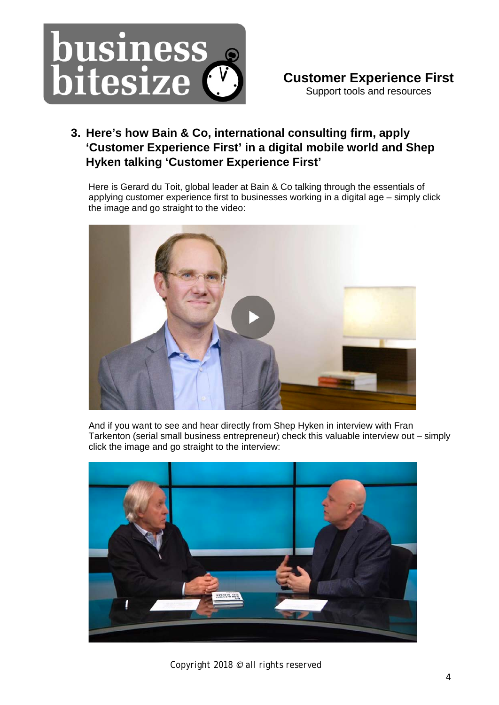

## **3. Here's how Bain & Co, international consulting firm, apply 'Customer Experience First' in a digital mobile world and Shep Hyken talking 'Customer Experience First'**

Here is Gerard du Toit, global leader at Bain & Co talking through the essentials of applying customer experience first to businesses working in a digital age – simply click the image and go straight to the video:



And if you want to see and hear directly from Shep Hyken in interview with Fran Tarkenton (serial small business entrepreneur) check this valuable interview out – simply click the image and go straight to the interview:



*Copyright 2018 © all rights reserved*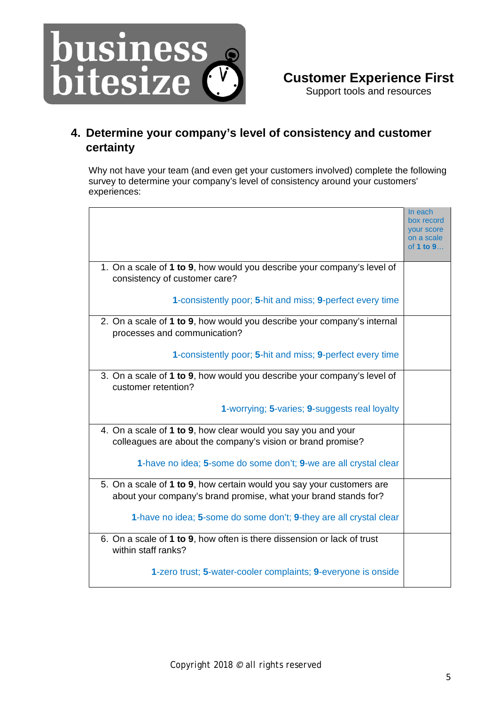

Support tools and resources

## **4. Determine your company's level of consistency and customer certainty**

Why not have your team (and even get your customers involved) complete the following survey to determine your company's level of consistency around your customers' experiences:

|                                                                                                                                          | In each<br>box record<br><b>vour score</b><br>on a scale<br>of <b>1 to 9</b> |
|------------------------------------------------------------------------------------------------------------------------------------------|------------------------------------------------------------------------------|
| 1. On a scale of 1 to 9, how would you describe your company's level of<br>consistency of customer care?                                 |                                                                              |
| 1-consistently poor; 5-hit and miss; 9-perfect every time                                                                                |                                                                              |
| 2. On a scale of 1 to 9, how would you describe your company's internal<br>processes and communication?                                  |                                                                              |
| 1-consistently poor; 5-hit and miss; 9-perfect every time                                                                                |                                                                              |
| 3. On a scale of 1 to 9, how would you describe your company's level of<br>customer retention?                                           |                                                                              |
| 1-worrying; 5-varies; 9-suggests real loyalty                                                                                            |                                                                              |
| 4. On a scale of 1 to 9, how clear would you say you and your<br>colleagues are about the company's vision or brand promise?             |                                                                              |
| 1-have no idea; 5-some do some don't; 9-we are all crystal clear                                                                         |                                                                              |
| 5. On a scale of 1 to 9, how certain would you say your customers are<br>about your company's brand promise, what your brand stands for? |                                                                              |
| 1-have no idea; 5-some do some don't; 9-they are all crystal clear                                                                       |                                                                              |
| 6. On a scale of 1 to 9, how often is there dissension or lack of trust<br>within staff ranks?                                           |                                                                              |
| 1-zero trust; 5-water-cooler complaints; 9-everyone is onside                                                                            |                                                                              |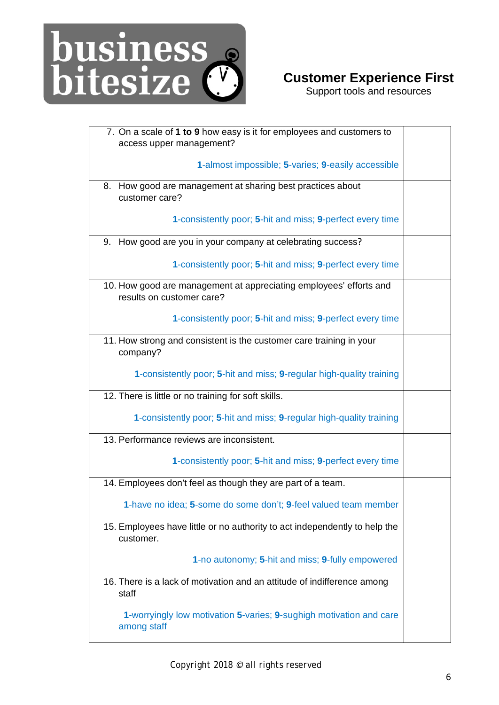

## **Customer Experience First**

Support tools and resources

| 7. On a scale of 1 to 9 how easy is it for employees and customers to      |  |
|----------------------------------------------------------------------------|--|
| access upper management?                                                   |  |
|                                                                            |  |
| 1-almost impossible; 5-varies; 9-easily accessible                         |  |
|                                                                            |  |
| 8. How good are management at sharing best practices about                 |  |
| customer care?                                                             |  |
| 1-consistently poor; 5-hit and miss; 9-perfect every time                  |  |
|                                                                            |  |
| 9. How good are you in your company at celebrating success?                |  |
|                                                                            |  |
| 1-consistently poor; 5-hit and miss; 9-perfect every time                  |  |
|                                                                            |  |
| 10. How good are management at appreciating employees' efforts and         |  |
| results on customer care?                                                  |  |
|                                                                            |  |
| 1-consistently poor; 5-hit and miss; 9-perfect every time                  |  |
|                                                                            |  |
| 11. How strong and consistent is the customer care training in your        |  |
| company?                                                                   |  |
|                                                                            |  |
| 1-consistently poor; 5-hit and miss; 9-regular high-quality training       |  |
| 12. There is little or no training for soft skills.                        |  |
|                                                                            |  |
| 1-consistently poor; 5-hit and miss; 9-regular high-quality training       |  |
|                                                                            |  |
| 13. Performance reviews are inconsistent.                                  |  |
|                                                                            |  |
| 1-consistently poor; 5-hit and miss; 9-perfect every time                  |  |
|                                                                            |  |
| 14. Employees don't feel as though they are part of a team.                |  |
|                                                                            |  |
| 1-have no idea; 5-some do some don't; 9-feel valued team member            |  |
| 15. Employees have little or no authority to act independently to help the |  |
| customer.                                                                  |  |
|                                                                            |  |
| 1-no autonomy; 5-hit and miss; 9-fully empowered                           |  |
|                                                                            |  |
| 16. There is a lack of motivation and an attitude of indifference among    |  |
| staff                                                                      |  |
|                                                                            |  |
| 1-worryingly low motivation 5-varies; 9-sughigh motivation and care        |  |
| among staff                                                                |  |
|                                                                            |  |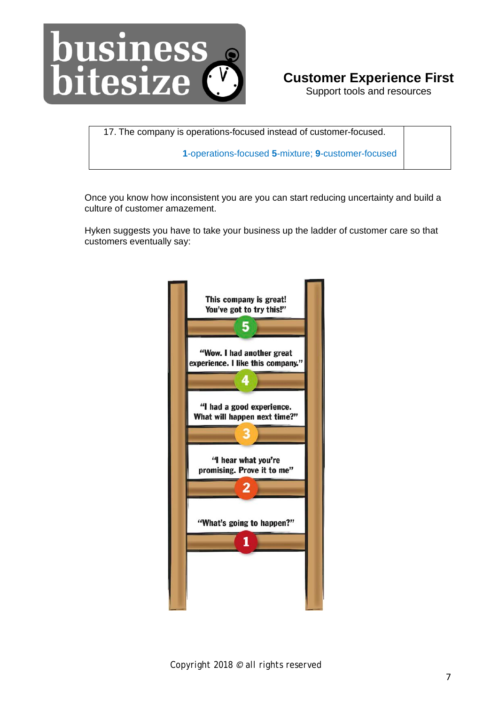

## **Customer Experience First**

Support tools and resources

17. The company is operations-focused instead of customer-focused.

 **1**-operations-focused **5**-mixture; **9**-customer-focused

 Once you know how inconsistent you are you can start reducing uncertainty and build a culture of customer amazement.

 Hyken suggests you have to take your business up the ladder of customer care so that customers eventually say: